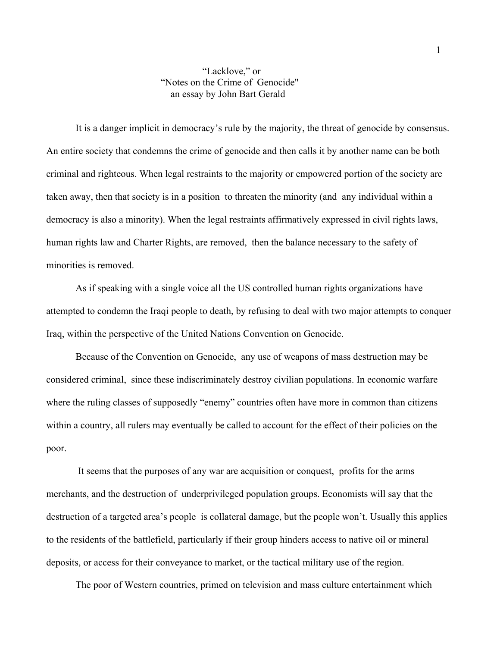## "Lacklove," or "Notes on the Crime of Genocide" an essay by John Bart Gerald

It is a danger implicit in democracy's rule by the majority, the threat of genocide by consensus. An entire society that condemns the crime of genocide and then calls it by another name can be both criminal and righteous. When legal restraints to the majority or empowered portion of the society are taken away, then that society is in a position to threaten the minority (and any individual within a democracy is also a minority). When the legal restraints affirmatively expressed in civil rights laws, human rights law and Charter Rights, are removed, then the balance necessary to the safety of minorities is removed.

As if speaking with a single voice all the US controlled human rights organizations have attempted to condemn the Iraqi people to death, by refusing to deal with two major attempts to conquer Iraq, within the perspective of the United Nations Convention on Genocide.

Because of the Convention on Genocide, any use of weapons of mass destruction may be considered criminal, since these indiscriminately destroy civilian populations. In economic warfare where the ruling classes of supposedly "enemy" countries often have more in common than citizens within a country, all rulers may eventually be called to account for the effect of their policies on the poor.

 It seems that the purposes of any war are acquisition or conquest, profits for the arms merchants, and the destruction of underprivileged population groups. Economists will say that the destruction of a targeted area's people is collateral damage, but the people won't. Usually this applies to the residents of the battlefield, particularly if their group hinders access to native oil or mineral deposits, or access for their conveyance to market, or the tactical military use of the region.

The poor of Western countries, primed on television and mass culture entertainment which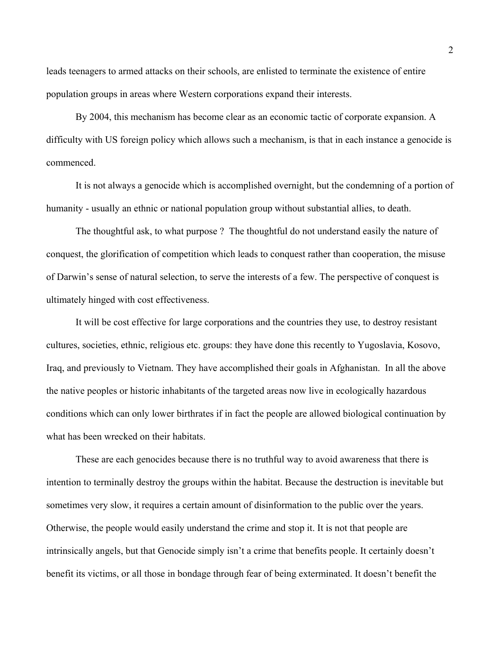leads teenagers to armed attacks on their schools, are enlisted to terminate the existence of entire population groups in areas where Western corporations expand their interests.

By 2004, this mechanism has become clear as an economic tactic of corporate expansion. A difficulty with US foreign policy which allows such a mechanism, is that in each instance a genocide is commenced.

It is not always a genocide which is accomplished overnight, but the condemning of a portion of humanity - usually an ethnic or national population group without substantial allies, to death.

The thoughtful ask, to what purpose ? The thoughtful do not understand easily the nature of conquest, the glorification of competition which leads to conquest rather than cooperation, the misuse of Darwin's sense of natural selection, to serve the interests of a few. The perspective of conquest is ultimately hinged with cost effectiveness.

It will be cost effective for large corporations and the countries they use, to destroy resistant cultures, societies, ethnic, religious etc. groups: they have done this recently to Yugoslavia, Kosovo, Iraq, and previously to Vietnam. They have accomplished their goals in Afghanistan. In all the above the native peoples or historic inhabitants of the targeted areas now live in ecologically hazardous conditions which can only lower birthrates if in fact the people are allowed biological continuation by what has been wrecked on their habitats.

These are each genocides because there is no truthful way to avoid awareness that there is intention to terminally destroy the groups within the habitat. Because the destruction is inevitable but sometimes very slow, it requires a certain amount of disinformation to the public over the years. Otherwise, the people would easily understand the crime and stop it. It is not that people are intrinsically angels, but that Genocide simply isn't a crime that benefits people. It certainly doesn't benefit its victims, or all those in bondage through fear of being exterminated. It doesn't benefit the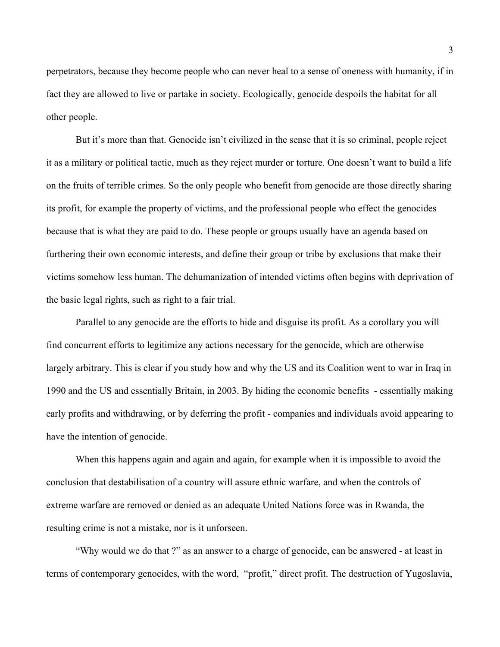perpetrators, because they become people who can never heal to a sense of oneness with humanity, if in fact they are allowed to live or partake in society. Ecologically, genocide despoils the habitat for all other people.

But it's more than that. Genocide isn't civilized in the sense that it is so criminal, people reject it as a military or political tactic, much as they reject murder or torture. One doesn't want to build a life on the fruits of terrible crimes. So the only people who benefit from genocide are those directly sharing its profit, for example the property of victims, and the professional people who effect the genocides because that is what they are paid to do. These people or groups usually have an agenda based on furthering their own economic interests, and define their group or tribe by exclusions that make their victims somehow less human. The dehumanization of intended victims often begins with deprivation of the basic legal rights, such as right to a fair trial.

Parallel to any genocide are the efforts to hide and disguise its profit. As a corollary you will find concurrent efforts to legitimize any actions necessary for the genocide, which are otherwise largely arbitrary. This is clear if you study how and why the US and its Coalition went to war in Iraq in 1990 and the US and essentially Britain, in 2003. By hiding the economic benefits - essentially making early profits and withdrawing, or by deferring the profit - companies and individuals avoid appearing to have the intention of genocide.

When this happens again and again and again, for example when it is impossible to avoid the conclusion that destabilisation of a country will assure ethnic warfare, and when the controls of extreme warfare are removed or denied as an adequate United Nations force was in Rwanda, the resulting crime is not a mistake, nor is it unforseen.

"Why would we do that ?" as an answer to a charge of genocide, can be answered - at least in terms of contemporary genocides, with the word, "profit," direct profit. The destruction of Yugoslavia,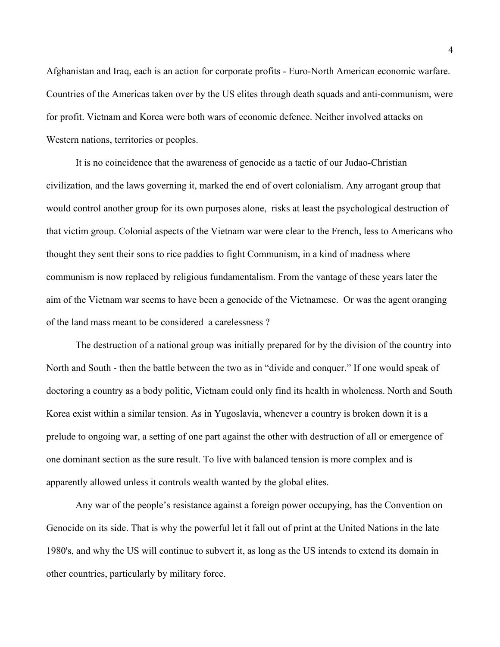Afghanistan and Iraq, each is an action for corporate profits - Euro-North American economic warfare. Countries of the Americas taken over by the US elites through death squads and anti-communism, were for profit. Vietnam and Korea were both wars of economic defence. Neither involved attacks on Western nations, territories or peoples.

It is no coincidence that the awareness of genocide as a tactic of our Judao-Christian civilization, and the laws governing it, marked the end of overt colonialism. Any arrogant group that would control another group for its own purposes alone, risks at least the psychological destruction of that victim group. Colonial aspects of the Vietnam war were clear to the French, less to Americans who thought they sent their sons to rice paddies to fight Communism, in a kind of madness where communism is now replaced by religious fundamentalism. From the vantage of these years later the aim of the Vietnam war seems to have been a genocide of the Vietnamese. Or was the agent oranging of the land mass meant to be considered a carelessness ?

The destruction of a national group was initially prepared for by the division of the country into North and South - then the battle between the two as in "divide and conquer." If one would speak of doctoring a country as a body politic, Vietnam could only find its health in wholeness. North and South Korea exist within a similar tension. As in Yugoslavia, whenever a country is broken down it is a prelude to ongoing war, a setting of one part against the other with destruction of all or emergence of one dominant section as the sure result. To live with balanced tension is more complex and is apparently allowed unless it controls wealth wanted by the global elites.

Any war of the people's resistance against a foreign power occupying, has the Convention on Genocide on its side. That is why the powerful let it fall out of print at the United Nations in the late 1980's, and why the US will continue to subvert it, as long as the US intends to extend its domain in other countries, particularly by military force.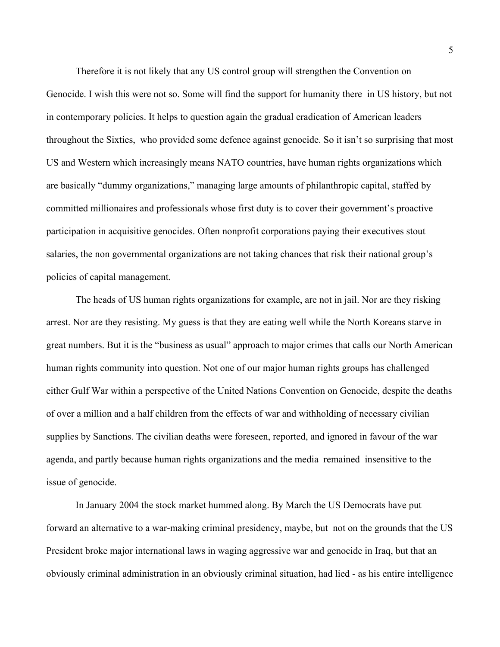Therefore it is not likely that any US control group will strengthen the Convention on Genocide. I wish this were not so. Some will find the support for humanity there in US history, but not in contemporary policies. It helps to question again the gradual eradication of American leaders throughout the Sixties, who provided some defence against genocide. So it isn't so surprising that most US and Western which increasingly means NATO countries, have human rights organizations which are basically "dummy organizations," managing large amounts of philanthropic capital, staffed by committed millionaires and professionals whose first duty is to cover their government's proactive participation in acquisitive genocides. Often nonprofit corporations paying their executives stout salaries, the non governmental organizations are not taking chances that risk their national group's policies of capital management.

The heads of US human rights organizations for example, are not in jail. Nor are they risking arrest. Nor are they resisting. My guess is that they are eating well while the North Koreans starve in great numbers. But it is the "business as usual" approach to major crimes that calls our North American human rights community into question. Not one of our major human rights groups has challenged either Gulf War within a perspective of the United Nations Convention on Genocide, despite the deaths of over a million and a half children from the effects of war and withholding of necessary civilian supplies by Sanctions. The civilian deaths were foreseen, reported, and ignored in favour of the war agenda, and partly because human rights organizations and the media remained insensitive to the issue of genocide.

In January 2004 the stock market hummed along. By March the US Democrats have put forward an alternative to a war-making criminal presidency, maybe, but not on the grounds that the US President broke major international laws in waging aggressive war and genocide in Iraq, but that an obviously criminal administration in an obviously criminal situation, had lied - as his entire intelligence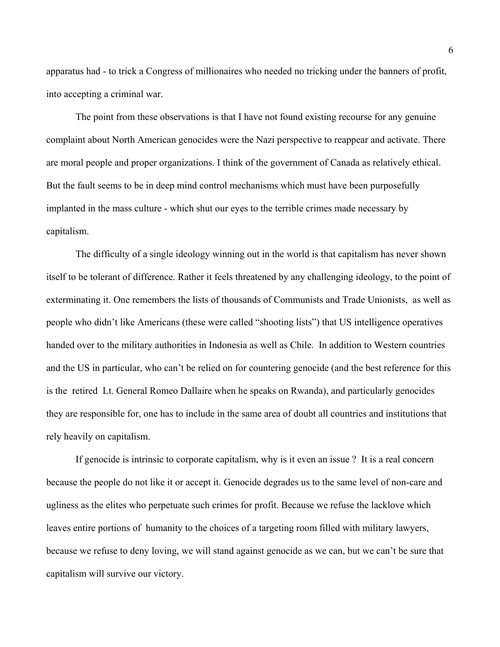apparatus had - to trick a Congress of millionaires who needed no tricking under the banners of profit, into accepting a criminal war.

The point from these observations is that I have not found existing recourse for any genuine complaint about North American genocides were the Nazi perspective to reappear and activate. There are moral people and proper organizations. I think of the government of Canada as relatively ethical. But the fault seems to be in deep mind control mechanisms which must have been purposefully implanted in the mass culture - which shut our eyes to the terrible crimes made necessary by capitalism.

The difficulty of a single ideology winning out in the world is that capitalism has never shown itself to be tolerant of difference. Rather it feels threatened by any challenging ideology, to the point of exterminating it. One remembers the lists of thousands of Communists and Trade Unionists, as well as people who didn't like Americans (these were called "shooting lists") that US intelligence operatives handed over to the military authorities in Indonesia as well as Chile. In addition to Western countries and the US in particular, who can't be relied on for countering genocide (and the best reference for this is the retired Lt. General Romeo Dallaire when he speaks on Rwanda), and particularly genocides they are responsible for, one has to include in the same area of doubt all countries and institutions that rely heavily on capitalism.

If genocide is intrinsic to corporate capitalism, why is it even an issue ? It is a real concern because the people do not like it or accept it. Genocide degrades us to the same level of non-care and ugliness as the elites who perpetuate such crimes for profit. Because we refuse the lacklove which leaves entire portions of humanity to the choices of a targeting room filled with military lawyers, because we refuse to deny loving, we will stand against genocide as we can, but we can't be sure that capitalism will survive our victory.